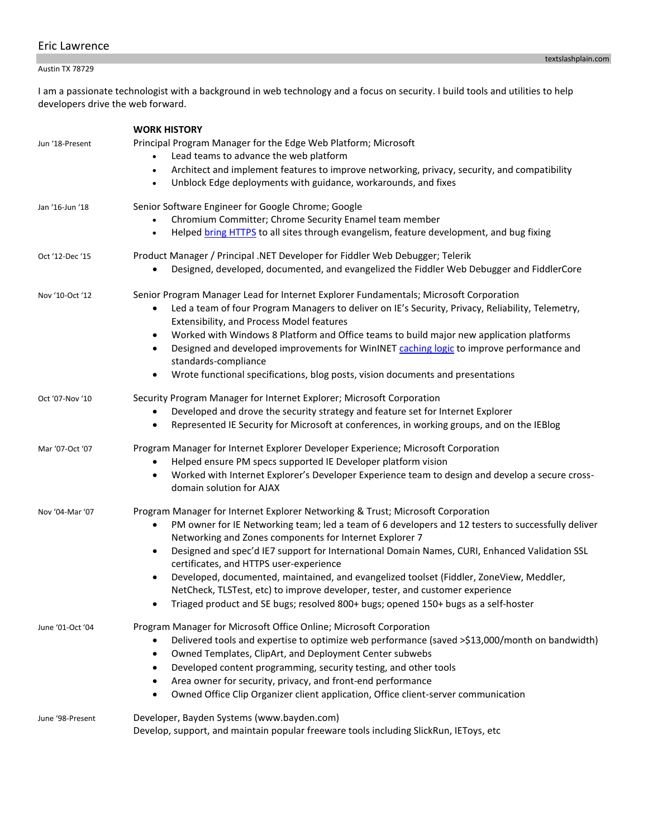# Eric Lawrence

## Austin TX 78729

I am a passionate technologist with a background in web technology and a focus on security. I build tools and utilities to help developers drive the web forward.

| Jun '18-Present  | <b>WORK HISTORY</b><br>Principal Program Manager for the Edge Web Platform; Microsoft<br>Lead teams to advance the web platform<br>Architect and implement features to improve networking, privacy, security, and compatibility<br>$\bullet$<br>Unblock Edge deployments with guidance, workarounds, and fixes<br>$\bullet$                                                                                                                                                                                                                                                                                                                                                      |
|------------------|----------------------------------------------------------------------------------------------------------------------------------------------------------------------------------------------------------------------------------------------------------------------------------------------------------------------------------------------------------------------------------------------------------------------------------------------------------------------------------------------------------------------------------------------------------------------------------------------------------------------------------------------------------------------------------|
| Jan '16-Jun '18  | Senior Software Engineer for Google Chrome; Google<br>Chromium Committer; Chrome Security Enamel team member<br>Helped bring HTTPS to all sites through evangelism, feature development, and bug fixing<br>$\bullet$                                                                                                                                                                                                                                                                                                                                                                                                                                                             |
| Oct '12-Dec '15  | Product Manager / Principal .NET Developer for Fiddler Web Debugger; Telerik<br>Designed, developed, documented, and evangelized the Fiddler Web Debugger and FiddlerCore                                                                                                                                                                                                                                                                                                                                                                                                                                                                                                        |
| Nov '10-Oct '12  | Senior Program Manager Lead for Internet Explorer Fundamentals; Microsoft Corporation<br>Led a team of four Program Managers to deliver on IE's Security, Privacy, Reliability, Telemetry,<br>$\bullet$<br>Extensibility, and Process Model features<br>Worked with Windows 8 Platform and Office teams to build major new application platforms<br>$\bullet$<br>Designed and developed improvements for WinINET caching logic to improve performance and<br>$\bullet$<br>standards-compliance<br>Wrote functional specifications, blog posts, vision documents and presentations                                                                                                |
| Oct '07-Nov '10  | Security Program Manager for Internet Explorer; Microsoft Corporation<br>Developed and drove the security strategy and feature set for Internet Explorer<br>Represented IE Security for Microsoft at conferences, in working groups, and on the IEBlog<br>٠                                                                                                                                                                                                                                                                                                                                                                                                                      |
| Mar '07-Oct '07  | Program Manager for Internet Explorer Developer Experience; Microsoft Corporation<br>Helped ensure PM specs supported IE Developer platform vision<br>Worked with Internet Explorer's Developer Experience team to design and develop a secure cross-<br>$\bullet$<br>domain solution for AJAX                                                                                                                                                                                                                                                                                                                                                                                   |
| Nov '04-Mar '07  | Program Manager for Internet Explorer Networking & Trust; Microsoft Corporation<br>PM owner for IE Networking team; led a team of 6 developers and 12 testers to successfully deliver<br>٠<br>Networking and Zones components for Internet Explorer 7<br>Designed and spec'd IE7 support for International Domain Names, CURI, Enhanced Validation SSL<br>$\bullet$<br>certificates, and HTTPS user-experience<br>Developed, documented, maintained, and evangelized toolset (Fiddler, ZoneView, Meddler,<br>NetCheck, TLSTest, etc) to improve developer, tester, and customer experience<br>Triaged product and SE bugs; resolved 800+ bugs; opened 150+ bugs as a self-hoster |
| June '01-Oct '04 | Program Manager for Microsoft Office Online; Microsoft Corporation<br>Delivered tools and expertise to optimize web performance (saved >\$13,000/month on bandwidth)<br>Owned Templates, ClipArt, and Deployment Center subwebs<br>٠<br>Developed content programming, security testing, and other tools<br>Area owner for security, privacy, and front-end performance<br>Owned Office Clip Organizer client application, Office client-server communication                                                                                                                                                                                                                    |
| June '98-Present | Developer, Bayden Systems (www.bayden.com)<br>Develop, support, and maintain popular freeware tools including SlickRun, IEToys, etc                                                                                                                                                                                                                                                                                                                                                                                                                                                                                                                                              |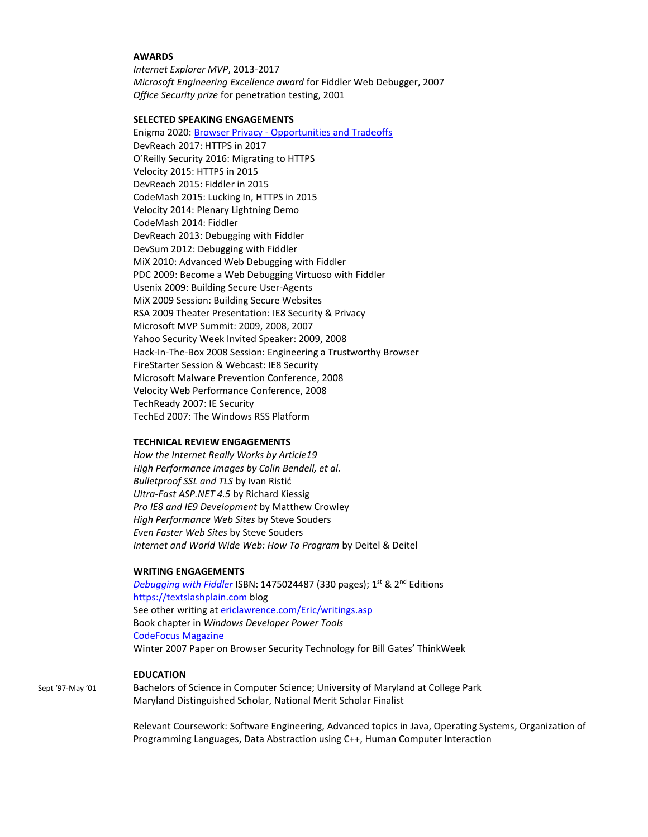## **AWARDS**

*Internet Explorer MVP*, 2013-2017 *Microsoft Engineering Excellence award* for Fiddler Web Debugger, 2007 *Office Security prize* for penetration testing, 2001

### **SELECTED SPEAKING ENGAGEMENTS**

Enigma 2020: Browser Privacy - [Opportunities and Tradeoffs](https://www.youtube.com/watch?time_continue=15&v=xakXPyfyFUI) DevReach 2017: HTTPS in 2017 O'Reilly Security 2016: Migrating to HTTPS Velocity 2015: HTTPS in 2015 DevReach 2015: Fiddler in 2015 CodeMash 2015: Lucking In, HTTPS in 2015 Velocity 2014: Plenary Lightning Demo CodeMash 2014: Fiddler DevReach 2013: Debugging with Fiddler DevSum 2012: Debugging with Fiddler MiX 2010: Advanced Web Debugging with Fiddler PDC 2009: Become a Web Debugging Virtuoso with Fiddler Usenix 2009: Building Secure User-Agents MiX 2009 Session: Building Secure Websites RSA 2009 Theater Presentation: IE8 Security & Privacy Microsoft MVP Summit: 2009, 2008, 2007 Yahoo Security Week Invited Speaker: 2009, 2008 Hack-In-The-Box 2008 Session: Engineering a Trustworthy Browser FireStarter Session & Webcast: IE8 Security Microsoft Malware Prevention Conference, 2008 Velocity Web Performance Conference, 2008 TechReady 2007: IE Security TechEd 2007: The Windows RSS Platform

### **TECHNICAL REVIEW ENGAGEMENTS**

*How the Internet Really Works by Article19 High Performance Images by Colin Bendell, et al. Bulletproof SSL and TLS* by Ivan Ristić *Ultra-Fast ASP.NET 4.5* by Richard Kiessig *Pro IE8 and IE9 Development* by Matthew Crowley *High Performance Web Sites* by Steve Souders *Even Faster Web Sites* by Steve Souders *Internet and World Wide Web: How To Program* by Deitel & Deitel

#### **WRITING ENGAGEMENTS**

*[Debugging with Fiddler](https://fiddlerbook.com/) ISBN: 1475024487 (330 pages); 1<sup>st</sup> & 2<sup>nd</sup> Editions* [https://textslashplain.com](https://textslashplain.com/) blog See other writing a[t ericlawrence.com/Eric/writings.asp](http://www.ericlawrence.com/Eric/writings.asp) Book chapter in *Windows Developer Power Tools* [CodeFocus Magazine](http://www.code-magazine.com/Article.aspx?quickid=0811132) Winter 2007 Paper on Browser Security Technology for Bill Gates' ThinkWeek

## **EDUCATION**

Sept '97-May '01 Bachelors of Science in Computer Science; University of Maryland at College Park Maryland Distinguished Scholar, National Merit Scholar Finalist

> Relevant Coursework: Software Engineering, Advanced topics in Java, Operating Systems, Organization of Programming Languages, Data Abstraction using C++, Human Computer Interaction